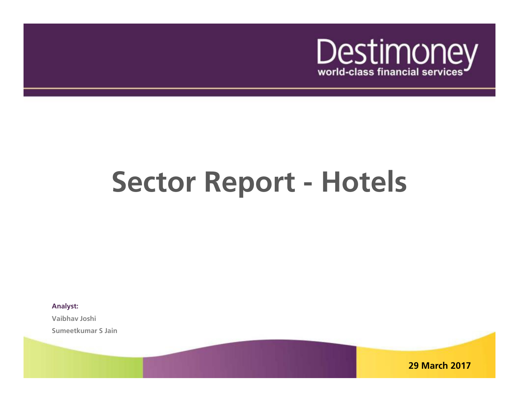

# **Sector Report - Hotels**

**Analyst:**

**Vaibhav Joshi Sumeetkumar S Jain**

**29 March 2017**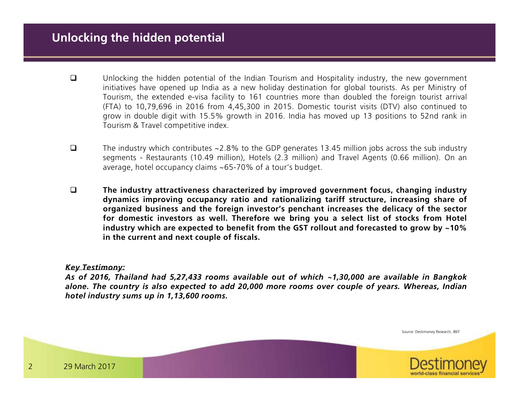- $\Box$  Unlocking the hidden potential of the Indian Tourism and Hospitality industry, the new government initiatives have opened up India as <sup>a</sup> new holiday destination for global tourists. As per Ministry of Tourism, the extended e-visa facility to <sup>161</sup> countries more than doubled the foreign tourist arrival (FTA) to 10,79,696 in <sup>2016</sup> from 4,45,300 in 2015. Domestic tourist visits (DTV) also continued to grow in double digit with 15.5% growth in 2016. India has moved up <sup>13</sup> positions to 52nd rank inTourism & Travel competitive index.
- $\Box$  The industry which contributes ~2.8% to the GDP generates 13.45 million jobs across the sub industry segments - Restaurants (10.49 million), Hotels (2.3 million) and Travel Agents (0.66 million). On anaverage, hotel occupancy claims ~65-70% of <sup>a</sup> tour's budget.
- $\Box$  **The industry attractiveness characterized by improved government focus, changing industry dynamics improving occupancy ratio and rationalizing tariff structure, increasing share of** organized business and the foreign investor's penchant increases the delicacy of the sector for domestic investors as well. Therefore we bring you a select list of stocks from Hotel industry which are expected to benefit from the GST rollout and forecasted to grow by  $\sim$ 10% **in the current and next couple of fiscals.**

### *Key Testimony:*

As of 2016, Thailand had 5,27,433 rooms available out of which  $\sim$ 1,30,000 are available in Bangkok alone. The country is also expected to add 20,000 more rooms over couple of years. Whereas, Indian *hotel industry sums up in 1,13,600 rooms.*

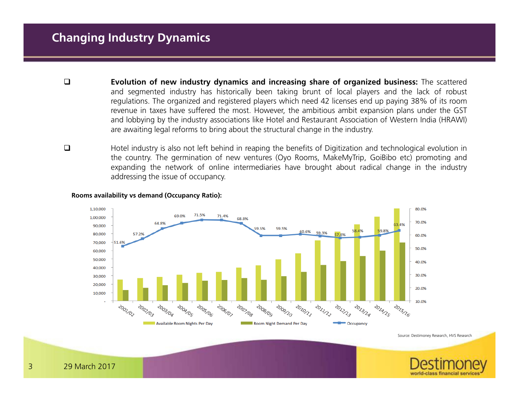- $\Box$ Evolution of new industry dynamics and increasing share of organized business: The scattered and segmented industry has historically been taking brunt of local players and the lack of robust regulations. The organized and registered players which need <sup>42</sup> licenses end up paying 38% of its room revenue in taxes have suffered the most. However, the ambitious ambit expansion plans under the GST and lobbying by the industry associations like Hotel and Restaurant Association of Western India (HRAWI) are awaiting legal reforms to bring about the structural change in the industry.
- $\Box$  Hotel industry is also not left behind in reaping the benefits of Digitization and technological evolution in the country. The germination of new ventures (Oyo Rooms, MakeMyTrip, GoiBibo etc) promoting and expanding the network of online intermediaries have brought about radical change in the industryaddressing the issue of occupancy.

### **Rooms availability vs demand (Occupancy Ratio):**



Source: Destimoney Research, HVS Research

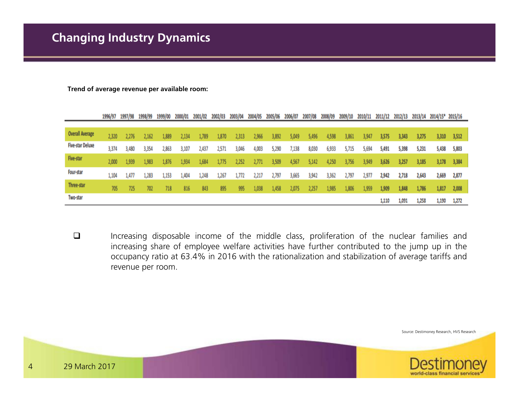**Trend of average revenue per available room:**

|                         | 1996/97 | 1997/98 | 1998/99 | 1999/00 | 2000/01 | 2001/02 | 2002/03 | 2003/04 | 2004/05 | 2005/06 | 2006/07 | 2007/08 | 2008/09 | 2009/10 | 2010/11 | 2011/12 | 2012/13 | 2013/14 | 2014/15* 2015/16 |       |
|-------------------------|---------|---------|---------|---------|---------|---------|---------|---------|---------|---------|---------|---------|---------|---------|---------|---------|---------|---------|------------------|-------|
|                         |         |         |         |         |         |         |         |         |         |         |         |         |         |         |         |         |         |         |                  |       |
| <b>Overall Average</b>  | 2,320   | 2,276   | .162    | ,889    | 2,134   | .789    | 1,870   | 2,313   | 2,966   | 3,892   | 5,049   | 5,496   | 4,598   | 3,861   | ,941    | 3,575   | 3,343   | 3,275   | 3,310            | 3,512 |
| <b>Five-star Deluxe</b> | 3,374   | 3,480   | 3,354   | 2,863   | 3,107   | 2,437   | 2,571   | 3,046   | 4,003   | 5,290   | /,138   | 8,030   | 6,933   | 5,715   | 5,694   | 5,491   | 5,398   | 5,231   | 5,438            | 5,803 |
| Five-star               | 2,000   | 1.939   | 1,983   | 1.876   | .,934   | 1,684   |         | 2,252   | 2,771   | 3,509   | 4,567   | 5.142   | 4,250   | 3,756   | 3.949   | 3,626   | 3,257   | 3,185   | 3,178            | 3,384 |
| Four-star               | 1,104   | 1,477   | 1,283   | 1,153   | 1,404   | 1,248   | 1,267   | 1,772   | 2,217   | 2,797   | 3,665   | 3,942   | 3,362   | 2,797   | 2,977   | 2,942   | 2,718   | 2,643   | 2,669            | 2,877 |
| Three-star              | 705     | 725     | 702     | 718     | 816     | 843     | 895     | 995     | 1,038   | 4,458   | 2,075   | 257     | 1,985   | 1,806   | .,959   | 1,909   | 1,848   | 1,786   | 1,817            | 2,008 |
| Two-star                |         |         |         |         |         |         |         |         |         |         |         |         |         |         |         | 1,110   | 1,091   | 1,258   | 1,190            | 1,272 |

 $\Box$  Increasing disposable income of the middle class, proliferation of the nuclear families and increasing share of employee welfare activities have further contributed to the jump up in the occupancy ratio at 63.4% in <sup>2016</sup> with the rationalization and stabilization of average tariffs andrevenue per room.

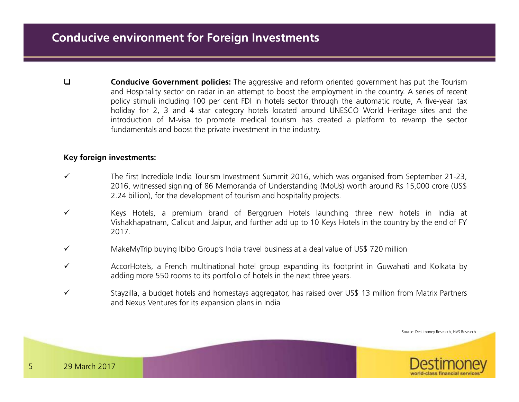$\Box$ **Conducive Government policies:** The aggressive and reform oriented government has put the Tourism and Hospitality sector on radar in an attempt to boost the employment in the country. <sup>A</sup> series of recent policy stimuli including <sup>100</sup> per cent FDI in hotels sector through the automatic route, <sup>A</sup> five-year tax holiday for 2, <sup>3</sup> and <sup>4</sup> star category hotels located around UNESCO World Heritage sites and the introduction of M-visa to promote medical tourism has created <sup>a</sup> platform to revamp the sectorfundamentals and boost the private investment in the industry.

## **Key foreign investments:**

- $\checkmark$  The first Incredible India Tourism Investment Summit 2016, which was organised from September 21-23, 2016, witnessed signing of <sup>86</sup> Memoranda of Understanding (MoUs) worth around Rs 15,000 crore (US\$2.24 billion), for the development of tourism and hospitality projects.
- $\checkmark$  Keys Hotels, <sup>a</sup> premium brand of Berggruen Hotels launching three new hotels in India at Vishakhapatnam, Calicut and Jaipur, and further add up to <sup>10</sup> Keys Hotels in the country by the end of FY2017.
- $\checkmark$ MakeMyTrip buying Ibibo Group's India travel business at <sup>a</sup> deal value of US\$ <sup>720</sup> million
- $\checkmark$  AccorHotels, <sup>a</sup> French multinational hotel group expanding its footprint in Guwahati and Kolkata by adding more <sup>550</sup> rooms to its portfolio of hotels in the next three years.
- $\checkmark$  Stayzilla, <sup>a</sup> budget hotels and homestays aggregator, has raised over US\$ <sup>13</sup> million from Matrix Partners and Nexus Ventures for its expansion plans in India

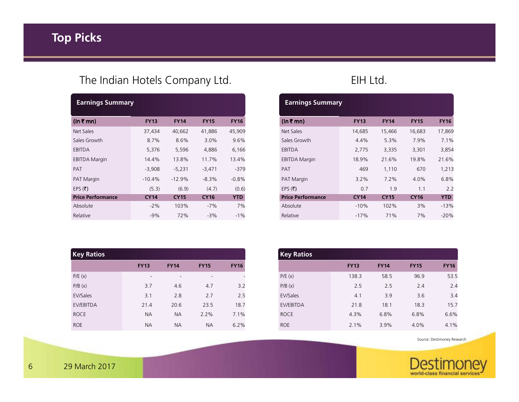# **Top Picks**

# The Indian Hotels Company Ltd. **EIH Ltd.** EIH Ltd.

| <b>Earnings Summary</b>  |             |             |             |             |
|--------------------------|-------------|-------------|-------------|-------------|
| (In ₹ mn)                | <b>FY13</b> | <b>FY14</b> | <b>FY15</b> | <b>FY16</b> |
| Net Sales                | 37,434      | 40,662      | 41,886      | 45,909      |
| Sales Growth             | 8.7%        | 8.6%        | $3.0\%$     | 9.6%        |
| EBITDA                   | 5,376       | 5,596       | 4,886       | 6,166       |
| <b>EBITDA Margin</b>     | 14.4%       | 13.8%       | 11.7%       | 13.4%       |
| PAT                      | $-3,908$    | $-5,231$    | $-3,471$    | -379        |
| PAT Margin               | $-10.4%$    | $-12.9%$    | $-8.3%$     | $-0.8%$     |
| EPS $(\bar{\tau})$       | (5.3)       | (6.9)       | (4.7)       | (0.6)       |
| <b>Price Performance</b> | <b>CY14</b> | <b>CY15</b> | <b>CY16</b> | <b>YTD</b>  |
| Absolute                 | $-2\%$      | 103%        | $-7%$       | 7%          |
| Relative                 | $-9%$       | 72%         | $-3%$       | $-1%$       |

| <b>Key Ratios</b> |                          |             |                          |             |
|-------------------|--------------------------|-------------|--------------------------|-------------|
|                   | <b>FY13</b>              | <b>FY14</b> | <b>FY15</b>              | <b>FY16</b> |
| P/E(x)            | $\overline{\phantom{a}}$ |             | $\overline{\phantom{a}}$ |             |
| P/B(x)            | 3.7                      | 4.6         | 4.7                      | 3.2         |
| EV/Sales          | 3.1                      | 2.8         | 2.7                      | 2.5         |
| <b>EV/EBITDA</b>  | 21.4                     | 20.6        | 23.5                     | 18.7        |
| <b>ROCE</b>       | <b>NA</b>                | <b>NA</b>   | 2.2%                     | 7.1%        |
| <b>ROE</b>        | <b>NA</b>                | <b>NA</b>   | <b>NA</b>                | 6.2%        |

| <b>Earnings Summary</b> |             |                |             |
|-------------------------|-------------|----------------|-------------|
| <b>FY13</b>             | <b>FY14</b> | <b>FY15</b>    | <b>FY16</b> |
| 14,685                  | 15,466      | 16,683         | 17,869      |
| $4.4\%$                 | 5.3%        | 7.9%           | 7.1%        |
| 2,775                   | 3,335       | 3,301          | 3,854       |
| 18.9%                   | 21.6%       | 19.8%          | 21.6%       |
| 469                     | 1,110       | 670            | 1,213       |
| $3.2\%$                 | 7.2%        | $4.0\%$        | 6.8%        |
| 0.7                     | 1.9         | 1 <sub>1</sub> | 2.2         |
| <b>CY14</b>             | <b>CY15</b> | <b>CY16</b>    | <b>YTD</b>  |
| $-10%$                  | 102%        | 3%             | $-13%$      |
| $-17%$                  | 71%         | 7%             | $-20%$      |
|                         |             |                |             |

| <b>Key Ratios</b> |             |             |             |             |
|-------------------|-------------|-------------|-------------|-------------|
|                   | <b>FY13</b> | <b>FY14</b> | <b>FY15</b> | <b>FY16</b> |
| P/E(x)            | 138.3       | 58.5        | 96.9        | 53.5        |
| P/B(x)            | 2.5         | 2.5         | 2.4         | 2.4         |
| EV/Sales          | 4.1         | 3.9         | 3.6         | 3.4         |
| EV/EBITDA         | 21.8        | 18.1        | 18.3        | 15.7        |
| <b>ROCE</b>       | 4.3%        | 6.8%        | 6.8%        | 6.6%        |
| <b>ROE</b>        | 2.1%        | 3.9%        | 4.0%        | 4.1%        |

Source: Destimoney Research

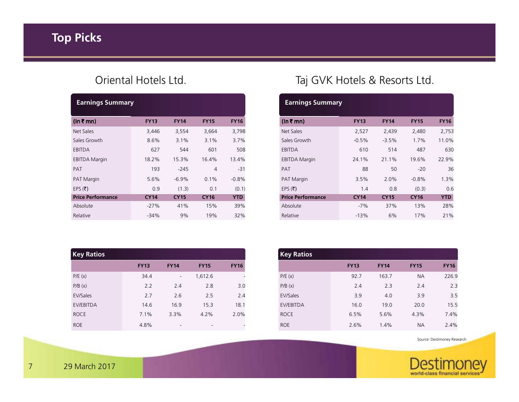| <b>Earnings Summary</b>  |             |             |             |             |
|--------------------------|-------------|-------------|-------------|-------------|
| (In ₹ mn)                | <b>FY13</b> | <b>FY14</b> | <b>FY15</b> | <b>FY16</b> |
| Net Sales                | 3,446       | 3,554       | 3,664       | 3,798       |
| Sales Growth             | 8.6%        | 3.1%        | 3.1%        | 3.7%        |
| EBITDA                   | 627         | 544         | 601         | 508         |
| <b>EBITDA Margin</b>     | 18.2%       | 15.3%       | 16.4%       | 13.4%       |
| PAT                      | 193         | $-245$      | 4           | $-31$       |
| <b>PAT Margin</b>        | 5.6%        | $-6.9\%$    | 0.1%        | $-0.8%$     |
| EPS $(\bar{\tau})$       | 0.9         | (1.3)       | 0.1         | (0.1)       |
| <b>Price Performance</b> | <b>CY14</b> | <b>CY15</b> | <b>CY16</b> | <b>YTD</b>  |
| Absolute                 | $-27%$      | 41%         | 15%         | 39%         |
| Relative                 | $-34%$      | 9%          | 19%         | 32%         |

| <b>Key Ratios</b> |             |             |             |             |
|-------------------|-------------|-------------|-------------|-------------|
|                   | <b>FY13</b> | <b>FY14</b> | <b>FY15</b> | <b>FY16</b> |
| P/E(x)            | 34.4        | ٠           | 1,612.6     |             |
| P/B(x)            | 2.2         | 2.4         | 2.8         | 3.0         |
| EV/Sales          | 2.7         | 2.6         | 2.5         | 2.4         |
| EV/EBITDA         | 14.6        | 16.9        | 15.3        | 18.1        |
| <b>ROCE</b>       | 7.1%        | 3.3%        | 4.2%        | 2.0%        |
| <b>ROE</b>        | 4.8%        |             |             |             |

# Oriental Hotels Ltd. Taj GVK Hotels & Resorts Ltd.

| <b>Earnings Summary</b>  |             |             |             |             |
|--------------------------|-------------|-------------|-------------|-------------|
| $(ln \bar{z}$ mn)        | <b>FY13</b> | <b>FY14</b> | <b>FY15</b> | <b>FY16</b> |
| Net Sales                | 2,527       | 2,439       | 2,480       | 2,753       |
| Sales Growth             | $-0.5%$     | $-3.5%$     | 1.7%        | 11.0%       |
| EBITDA                   | 610         | 514         | 487         | 630         |
| <b>EBITDA Margin</b>     | 24.1%       | 21.1%       | 19.6%       | 22.9%       |
| <b>PAT</b>               | 88          | 50          | $-20$       | 36          |
| PAT Margin               | 3.5%        | 2.0%        | $-0.8%$     | 1.3%        |
| EPS $(\bar{\tau})$       | 14          | 0.8         | (0.3)       | 0.6         |
| <b>Price Performance</b> | <b>CY14</b> | <b>CY15</b> | <b>CY16</b> | <b>YTD</b>  |
| Absolute                 | $-7%$       | 37%         | 13%         | 28%         |
| Relative                 | $-13%$      | 6%          | 17%         | 21%         |
|                          |             |             |             |             |

| Absolute          | $-27%$      | 41%                      | 15%                      | 39%         |
|-------------------|-------------|--------------------------|--------------------------|-------------|
| Relative          | $-34%$      | 9%                       | 19%                      | 32%         |
|                   |             |                          |                          |             |
|                   |             |                          |                          |             |
|                   |             |                          |                          |             |
| <b>Key Ratios</b> |             |                          |                          |             |
|                   | <b>FY13</b> | <b>FY14</b>              | <b>FY15</b>              | <b>FY16</b> |
| P/E(x)            | 34.4        | $\overline{\phantom{a}}$ | 1,612.6                  |             |
| P/B(x)            | 2.2         | 2.4                      | 2.8                      | 3.0         |
| EV/Sales          | 2.7         | 2.6                      | 2.5                      | 2.4         |
| EV/EBITDA         | 14.6        | 16.9                     | 15.3                     | 18.1        |
| <b>ROCE</b>       | 7.1%        | 3.3%                     | 4.2%                     | 2.0%        |
| <b>ROE</b>        | 4.8%        | $\overline{\phantom{a}}$ | $\overline{\phantom{a}}$ |             |
|                   |             |                          |                          |             |

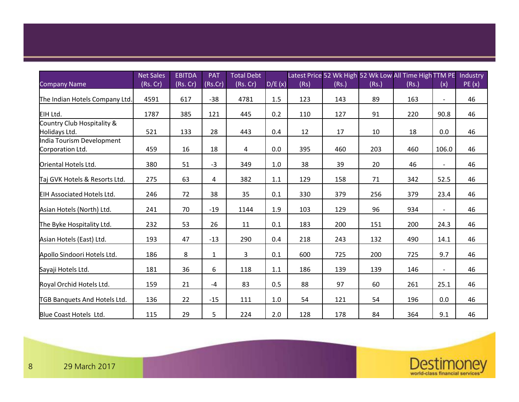### Company NameNet Sales (Rs. Cr)EBITDA (Rs. Cr)PAT (Rs.Cr)Total Debt  $(Rs. Cr)$  D/E $(x)$ Latest Price 52 Wk High 52 Wk Low All Time High TTM PE (Rs)(Rs.)(Rs.)(Rs.) $(x)$ **Industry** PE (x)The Indian Hotels Company Ltd. | 4591 | 617 | -38 | 4781 | 1.5 | 123 | 143 | 89 | 163 | - | 46 EIH Ltd. <sup>1787</sup> <sup>385</sup> <sup>121</sup> <sup>445</sup> 0.2 <sup>110</sup> <sup>127</sup> <sup>91</sup> <sup>220</sup> 90.8 <sup>46</sup>Country Club Hospitality & Holidays Ltd. 521 133 28 443 0.4 12 17 10 18 0.0 46 India Tourism Development Corporation Ltd. <sup>459</sup> <sup>16</sup> <sup>18</sup> <sup>4</sup> 0.0 <sup>395</sup> <sup>460</sup> <sup>203</sup> <sup>460</sup> 106.0 <sup>46</sup>Oriental Hotels Ltd. 380 51 -3 349 1.0 38 39 20 46 - 46 Taj GVK Hotels & Resorts Ltd. | 275 | 63 | 4 | 382 | 1.1 | 129 | 158 | 71 | 342 52.5 <sup>46</sup> EIH Associated Hotels Ltd. <sup>246</sup> <sup>72</sup> <sup>38</sup> <sup>35</sup> 0.1 <sup>330</sup> <sup>379</sup> <sup>256</sup> <sup>379</sup> 23.4 <sup>46</sup>Asian Hotels (North) Ltd. <sup>241</sup> <sup>70</sup> -19 <sup>1144</sup> 1.9 <sup>103</sup> <sup>129</sup> <sup>96</sup> <sup>934</sup>4 - 46 The Byke Hospitality Ltd. <sup>232</sup> <sup>53</sup> <sup>26</sup> <sup>11</sup> 0.1 <sup>183</sup> <sup>200</sup> <sup>151</sup> <sup>200</sup> 24.3 <sup>46</sup>Asian Hotels (East) Ltd. | 193 | 47 | -13 | 290 | 0.4 | 218 | 243 | 132 | 490 | 14.1 | 46 Apollo Sindoori Hotels Ltd. <sup>186</sup> <sup>8</sup> <sup>1</sup> <sup>3</sup> 0.1 <sup>600</sup> <sup>725</sup> <sup>200</sup> <sup>725</sup> 9.7 <sup>46</sup> Sayaji Hotels Ltd. 181 36 6 118 1.1 186 139 139 146 - 46 Royal Orchid Hotels Ltd. | 159 | 21 | -4 | 83 | 0.5 | 88 | 97 | 60 | 261 | 25.1 | 46 TGB Banquets And Hotels Ltd. | 136 | 22 | -15 | 111 | 1.0 | 54 | 121 | 54 | 196 | 0.0 | 46 Blue Coast Hotels Ltd. | 115 | 29 | 5 | 224 | 2.0 | 128 | 178 | 84 | 364 | 9.1 | 46